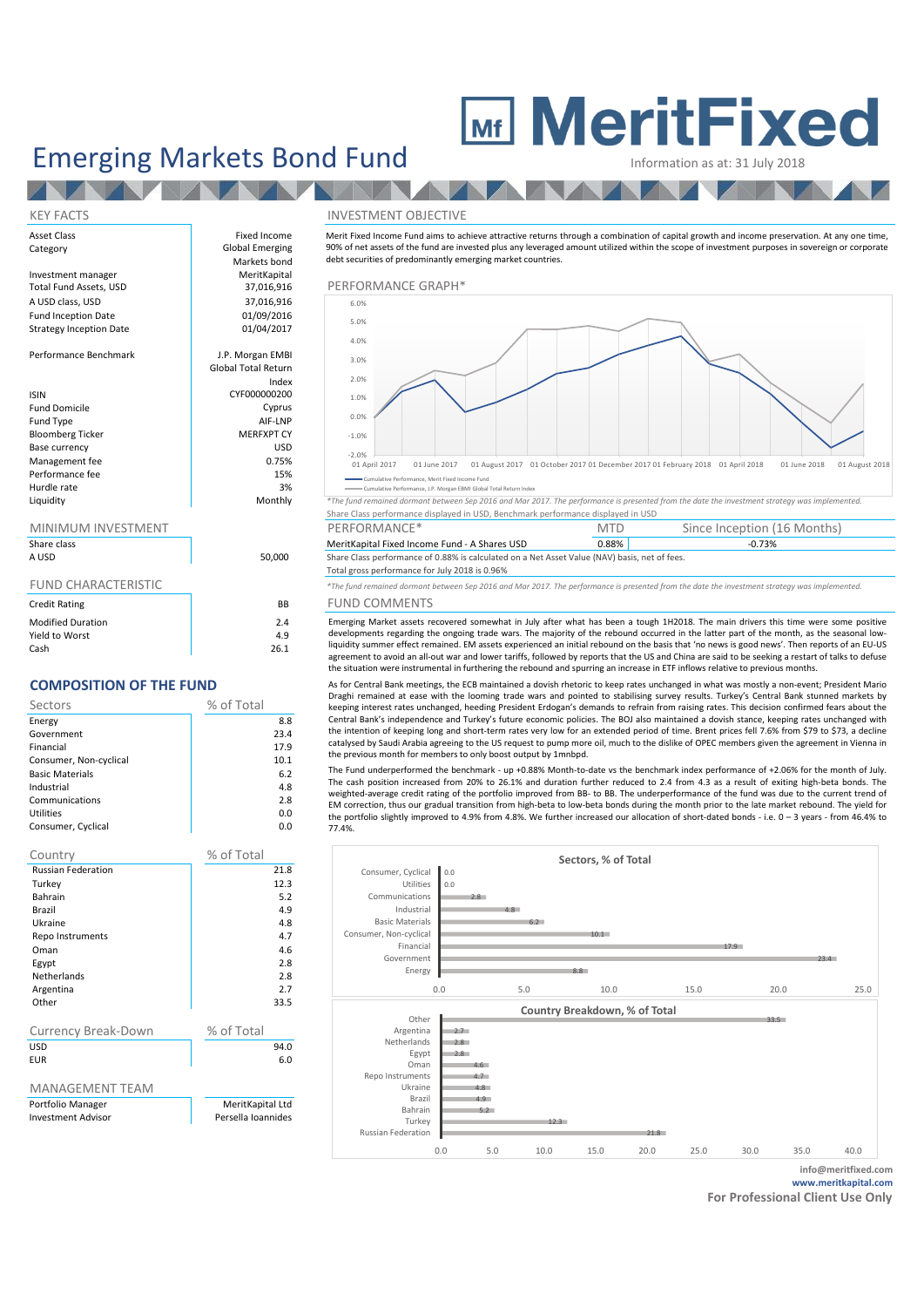# Emerging Markets Bond Fund **Information as at: 31 July 2018**

# **MeritFixed**

 $-0.73%$ 

| Asset Class<br>Category        | Fixed Income<br>Global Emerging<br>Markets bond | Merit Fixed Incom<br>90% of net assets<br>debt securities of |
|--------------------------------|-------------------------------------------------|--------------------------------------------------------------|
| Investment manager             | MeritKapital                                    |                                                              |
| Total Fund Assets, USD         | 37,016,916                                      | PERFORMAI                                                    |
| A USD class, USD               | 37,016,916                                      | 6.0%                                                         |
| <b>Fund Inception Date</b>     | 01/09/2016                                      |                                                              |
| <b>Strategy Inception Date</b> | 01/04/2017                                      | 5.0%                                                         |
|                                |                                                 | 4.0%                                                         |
| Performance Benchmark          | J.P. Morgan EMBI                                | 3.0%                                                         |
|                                | <b>Global Total Return</b>                      |                                                              |
|                                | Index                                           | 2.0%                                                         |
| <b>ISIN</b>                    | CYF000000200                                    | 1.0%                                                         |
| <b>Fund Domicile</b>           | Cyprus                                          |                                                              |
| Fund Type                      | AIF-LNP                                         | 0.0%                                                         |
| <b>Bloomberg Ticker</b>        | <b>MERFXPT CY</b>                               | $-1.0%$                                                      |
| Base currency                  | <b>USD</b>                                      | $-2.0%$                                                      |
| Management fee                 | 0.75%                                           | 01 April 2017                                                |
| Performance fee                | 15%                                             | Cumulative P                                                 |
| Hurdle rate                    | 3%                                              | Cumulative P                                                 |

AV

### MINIMUM INVESTMENT

| Share class              |           | MeritKapital Fixed Income Fund - A Shares USD                                                                                 | 0.88% |
|--------------------------|-----------|-------------------------------------------------------------------------------------------------------------------------------|-------|
| A USD                    | 50.000    | Share Class performance of 0.88% is calculated on a Net Asset Value (NAV) b<br>Total gross performance for July 2018 is 0.96% |       |
| FUND CHARACTERISTIC      |           | *The fund remained dormant between Sep 2016 and Mar 2017. The performance is                                                  |       |
| <b>Credit Rating</b>     | <b>BB</b> | <b>FUND COMMENTS</b>                                                                                                          |       |
| <b>Modified Duration</b> | 2.4       | Emerging Market assets recovered somewhat in July after what has been                                                         |       |
| Yield to Worst           | 4.9       | developments regarding the ongoing trade wars. The majority of the rebo                                                       |       |

Cash 26.1

## **COMPOSITION OF THE FUND**

| Sectors                | % of Total |
|------------------------|------------|
| Energy                 | 8.8        |
| Government             | 23.4       |
| Financial              | 17.9       |
| Consumer, Non-cyclical | 10.1       |
| <b>Basic Materials</b> | 6.2        |
| Industrial             | 4.8        |
| Communications         | 2.8        |
| Utilities              | 0.0        |
| Consumer, Cyclical     | 0.0        |

| Country                   | % of Total         |
|---------------------------|--------------------|
| <b>Russian Federation</b> | 21.8               |
| Turkey                    | 12.3               |
| Bahrain                   | 5.2                |
| Brazil                    | 4.9                |
| Ukraine                   | 4.8                |
| Repo Instruments          | 4.7                |
| Oman                      | 4.6                |
| Egypt                     | 2.8                |
| Netherlands               | 2.8                |
| Argentina                 | 2.7                |
| Other                     | 33.5               |
|                           |                    |
| Currency Break-Down       | % of Total         |
| <b>USD</b>                | 94.0               |
| <b>EUR</b>                | 6.0                |
|                           |                    |
| MANAGEMENT TEAM           |                    |
| Portfolio Manager         | MeritKapital Ltd   |
| <b>Investment Advisor</b> | Persella Ioannides |
|                           |                    |

#### KEY FACTS INVESTMENT OBJECTIVE

Merit Fixed Income Fund aims to achieve attractive returns through a combination of capital growth and income preservation. At any one time, 90% of net assets of the fund are invested plus any leveraged amount utilized within the scope of investment purposes in sovereign or corporate debt securities of predominantly emerging market countries.

# $\frac{5.916}{16,916}$  PERFORMANCE GRAPH\*



Cumulative Performance, Merit Fixed Income Fund Cumulative Performance, J.P. Morgan EBMI Global Total Return Index

**Liquidity** Monthly *\*The fund remained dormant between Sep 2016 and Mar 2017. The performance is presented from the date the investment strategy was implemented.* Share Class performance displayed in USD, Benchmark performance displayed in USD

| PERFORMANCE*                                   | <b>MTD</b> | Since Inception (16 Months) |
|------------------------------------------------|------------|-----------------------------|
| MeritKanital Fived Income Fund - A Shares LISD | በ ՋՋ%      | .በ 73%                      |

OO Share Class performance of 0.88% is calculated on a Net Asset Value (NAV) basis, net of fees

#### Total gross performance for July 2018 is 0.96%

\*The fund remained dormant between Sep 2016 and Mar 2017. The performance is presented from the date the investment strategy was implemented.

### BB FUND COMMENTS

Emerging Market assets recovered somewhat in July after what has been a tough 1H2018. The main drivers this time were some positive developments regarding the ongoing trade wars. The majority of the rebound occurred in the latter part of the month, as the seasonal lowliquidity summer effect remained. EM assets experienced an initial rebound on the basis that 'no news is good news'. Then reports of an EU-US agreement to avoid an all-out war and lower tariffs, followed by reports that the US and China are said to be seeking a restart of talks to defuse the situation were instrumental in furthering the rebound and spurring an increase in ETF inflows relative to previous months.

As for Central Bank meetings, the ECB maintained a dovish rhetoric to keep rates unchanged in what was mostly a non-event; President Mario Draghi remained at ease with the looming trade wars and pointed to stabilising survey results. Turkey's Central Bank stunned markets by keeping interest rates unchanged, heeding President Erdogan's demands to refrain from raising rates. This decision confirmed fears about the<br>Central Bank's independence and Turkey's future economic policies. The BOJ also m the intention of keeping long and short-term rates very low for an extended period of time. Brent prices fell 7.6% from \$79 to \$73, a decline catalysed by Saudi Arabia agreeing to the US request to pump more oil, much to the dislike of OPEC members given the agreement in Vienna in the previous month for members to only boost output by 1mnbpd.

The Fund underperformed the benchmark - up +0.88% Month-to-date vs the benchmark index performance of +2.06% for the month of July. The cash position increased from 20% to 26.1% and duration further reduced to 2.4 from 4.3 as a result of exiting high-beta bonds. The weighted-average credit rating of the portfolio improved from BB- to BB. The underperformance of the fund was due to the current trend of EM correction, thus our gradual transition from high-beta to low-beta bonds during the month prior to the late market rebound. The yield for the portfolio slightly improved to 4.9% from 4.8%. We further increased our allocation of short-dated bonds - i.e. 0 – 3 years - from 46.4% to 77.4%.



**For Professional Client Use Only**